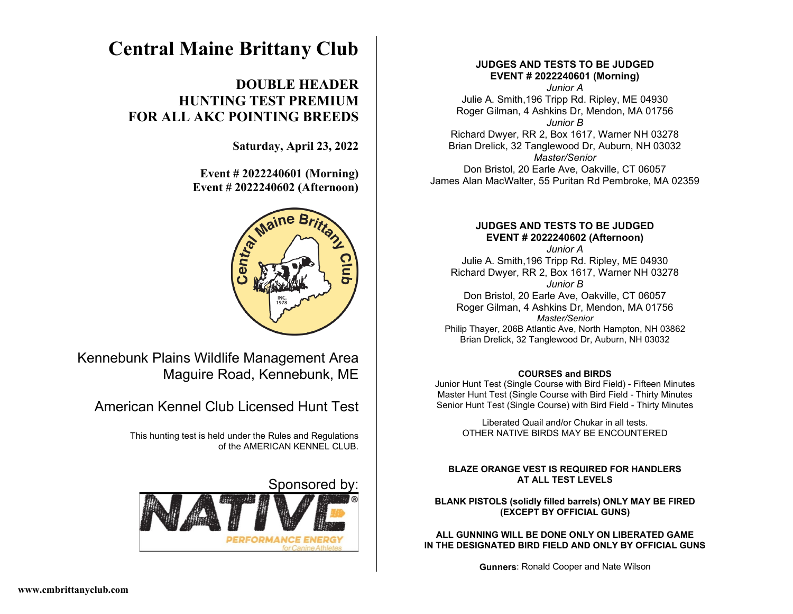# **Central Maine Brittany Club**

# **DOUBLE HEADER HUNTING TEST PREMIUM FOR ALL AKC POINTING BREEDS**

**Saturday, April 23, 2022** 

 **Event # 2022240601 (Morning) Event # 2022240602 (Afternoon)**



Kennebunk Plains Wildlife Management Area Maguire Road, Kennebunk, ME

American Kennel Club Licensed Hunt Test

This hunting test is held under the Rules and Regulations of the AMERICAN KENNEL CLUB.

Sponsored by



# **JUDGES AND TESTS TO BE JUDGED EVENT # 2022240601 (Morning)**

*Junior A* Julie A. Smith,196 Tripp Rd. Ripley, ME 04930 Roger Gilman, 4 Ashkins Dr, Mendon, MA 01756 *Junior B* Richard Dwyer, RR 2, Box 1617, Warner NH 03278 Brian Drelick, 32 Tanglewood Dr, Auburn, NH 03032 *Master/Senior* Don Bristol, 20 Earle Ave, Oakville, CT 06057 James Alan MacWalter, 55 Puritan Rd Pembroke, MA 02359

# **JUDGES AND TESTS TO BE JUDGED EVENT # 2022240602 (Afternoon)**

*Junior A* Julie A. Smith,196 Tripp Rd. Ripley, ME 04930 Richard Dwyer, RR 2, Box 1617, Warner NH 03278 *Junior B* Don Bristol, 20 Earle Ave, Oakville, CT 06057 Roger Gilman, 4 Ashkins Dr, Mendon, MA 01756 *Master/Senior* Philip Thayer, 206B Atlantic Ave, North Hampton, NH 03862 Brian Drelick, 32 Tanglewood Dr, Auburn, NH 03032

## **COURSES and BIRDS**

Junior Hunt Test (Single Course with Bird Field) - Fifteen Minutes Master Hunt Test (Single Course with Bird Field - Thirty Minutes Senior Hunt Test (Single Course) with Bird Field - Thirty Minutes

> Liberated Quail and/or Chukar in all tests. OTHER NATIVE BIRDS MAY BE ENCOUNTERED

## **BLAZE ORANGE VEST IS REQUIRED FOR HANDLERS AT ALL TEST LEVELS**

#### **BLANK PISTOLS (solidly filled barrels) ONLY MAY BE FIRED (EXCEPT BY OFFICIAL GUNS)**

**ALL GUNNING WILL BE DONE ONLY ON LIBERATED GAME IN THE DESIGNATED BIRD FIELD AND ONLY BY OFFICIAL GUNS**

**Gunners**: Ronald Cooper and Nate Wilson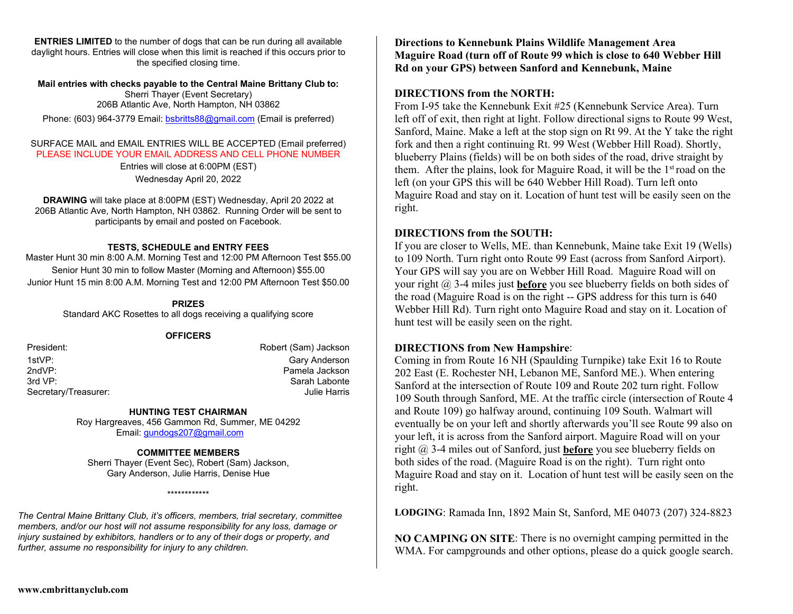**ENTRIES LIMITED** to the number of dogs that can be run during all available daylight hours. Entries will close when this limit is reached if this occurs prior to the specified closing time.

#### **Mail entries with checks payable to the Central Maine Brittany Club to:** Sherri Thayer (Event Secretary) 206B Atlantic Ave, North Hampton, NH 03862

Phone: (603) 964-3779 Email: [bsbritts88@gmail.com](mailto:bsbritts88@gmail.com) (Email is preferred)

#### SURFACE MAIL and EMAIL ENTRIES WILL BE ACCEPTED (Email preferred) PLEASE INCLUDE YOUR EMAIL ADDRESS AND CELL PHONE NUMBER

Entries will close at 6:00PM (EST) Wednesday April 20, 2022

**DRAWING** will take place at 8:00PM (EST) Wednesday, April 20 2022 at 206B Atlantic Ave, North Hampton, NH 03862. Running Order will be sent to participants by email and posted on Facebook.

#### **TESTS, SCHEDULE and ENTRY FEES**

Master Hunt 30 min 8:00 A.M. Morning Test and 12:00 PM Afternoon Test \$55.00 Senior Hunt 30 min to follow Master (Morning and Afternoon) \$55.00 Junior Hunt 15 min 8:00 A.M. Morning Test and 12:00 PM Afternoon Test \$50.00

#### **PRIZES**

Standard AKC Rosettes to all dogs receiving a qualifying score

#### **OFFICERS**

Secretary/Treasurer:

President: **Robert (Sam)** Jackson 1stVP: Gary Anderson 2ndVP: Pamela Jackson Sarah Labonte<br>Julie Harris

#### **HUNTING TEST CHAIRMAN**

Roy Hargreaves, 456 Gammon Rd, Summer, ME 04292 Email: [gundogs207@gmail.com](mailto:gundogs207@gmail.com) 

#### **COMMITTEE MEMBERS**

Sherri Thayer (Event Sec), Robert (Sam) Jackson, Gary Anderson, Julie Harris, Denise Hue

\*\*\*\*\*\*\*\*\*\*\*\*

*The Central Maine Brittany Club, it's officers, members, trial secretary, committee members, and/or our host will not assume responsibility for any loss, damage or injury sustained by exhibitors, handlers or to any of their dogs or property, and further, assume no responsibility for injury to any children.*

**Directions to Kennebunk Plains Wildlife Management Area Maguire Road (turn off of Route 99 which is close to 640 Webber Hill Rd on your GPS) between Sanford and Kennebunk, Maine**

# **DIRECTIONS from the NORTH:**

From I-95 take the Kennebunk Exit #25 (Kennebunk Service Area). Turn left off of exit, then right at light. Follow directional signs to Route 99 West, Sanford, Maine. Make a left at the stop sign on Rt 99. At the Y take the right fork and then a right continuing Rt. 99 West (Webber Hill Road). Shortly, blueberry Plains (fields) will be on both sides of the road, drive straight by them. After the plains, look for Maguire Road, it will be the 1<sup>st</sup> road on the left (on your GPS this will be 640 Webber Hill Road). Turn left onto Maguire Road and stay on it. Location of hunt test will be easily seen on the right.

# **DIRECTIONS from the SOUTH:**

If you are closer to Wells, ME. than Kennebunk, Maine take Exit 19 (Wells) to 109 North. Turn right onto Route 99 East (across from Sanford Airport). Your GPS will say you are on Webber Hill Road. Maguire Road will on your right @ 3-4 miles just **before** you see blueberry fields on both sides of the road (Maguire Road is on the right -- GPS address for this turn is 640 Webber Hill Rd). Turn right onto Maguire Road and stay on it. Location of hunt test will be easily seen on the right.

# **DIRECTIONS from New Hampshire**:

Coming in from Route 16 NH (Spaulding Turnpike) take Exit 16 to Route 202 East (E. Rochester NH, Lebanon ME, Sanford ME.). When entering Sanford at the intersection of Route 109 and Route 202 turn right. Follow 109 South through Sanford, ME. At the traffic circle (intersection of Route 4 and Route 109) go halfway around, continuing 109 South. Walmart will eventually be on your left and shortly afterwards you'll see Route 99 also on your left, it is across from the Sanford airport. Maguire Road will on your right @ 3-4 miles out of Sanford, just **before** you see blueberry fields on both sides of the road. (Maguire Road is on the right). Turn right onto Maguire Road and stay on it. Location of hunt test will be easily seen on the right.

**LODGING**: Ramada Inn, 1892 Main St, Sanford, ME 04073 (207) 324-8823

**NO CAMPING ON SITE**: There is no overnight camping permitted in the WMA. For campgrounds and other options, please do a quick google search.